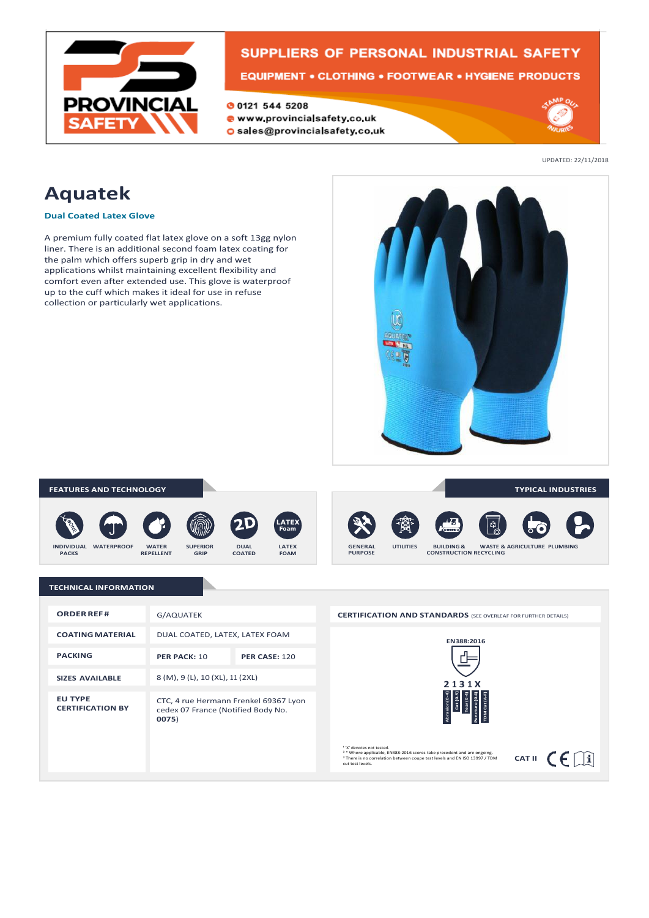

# SUPPLIERS OF PERSONAL INDUSTRIAL SAFETY

### **EQUIPMENT • CLOTHING • FOOTWEAR • HYGIENE PRODUCTS**

O 0121 544 5208

- www.provincialsafety.co.uk
- O sales@provincialsafety.co.uk



UPDATED: 22/11/2018

# **Aquatek**

#### **Dual Coated Latex Glove**

A premium fully coated flat latex glove on a soft 13gg nylon liner. There is an additional second foam latex coating for the palm which offers superb grip in dry and wet applications whilst maintaining excellent flexibility and comfort even after extended use. This glove is waterproof up to the cuff which makes it ideal for use in refuse collection or particularly wet applications.



#### **TECHNICAL INFORMATION TYPICAL INDUSTRIES CONSTRUCTION RECYCLING GENERAL UTILITIES BUILDING & WASTE & AGRICULTURE PLUMBING PURPOSE FEATURES AND TECHNOLOGY LATEX FOAM DUAL COATED INDIVIDUAL WATERPROOF WATER SUPERIOR PACKS REPELLENT GRIP LATEX Foam**

| <b>ORDER REF#</b>                         | G/AQUATEK                                                                            |                      |
|-------------------------------------------|--------------------------------------------------------------------------------------|----------------------|
| <b>COATING MATERIAL</b>                   | DUAL COATED, LATEX, LATEX FOAM                                                       |                      |
| <b>PACKING</b>                            | PER PACK: 10                                                                         | <b>PER CASE: 120</b> |
| <b>SIZES AVAILABLE</b>                    | 8 (M), 9 (L), 10 (XL), 11 (2XL)                                                      |                      |
| <b>EU TYPE</b><br><b>CERTIFICATION BY</b> | CTC, 4 rue Hermann Frenkel 69367 Lyon<br>cedex 07 France (Notified Body No.<br>0075) |                      |